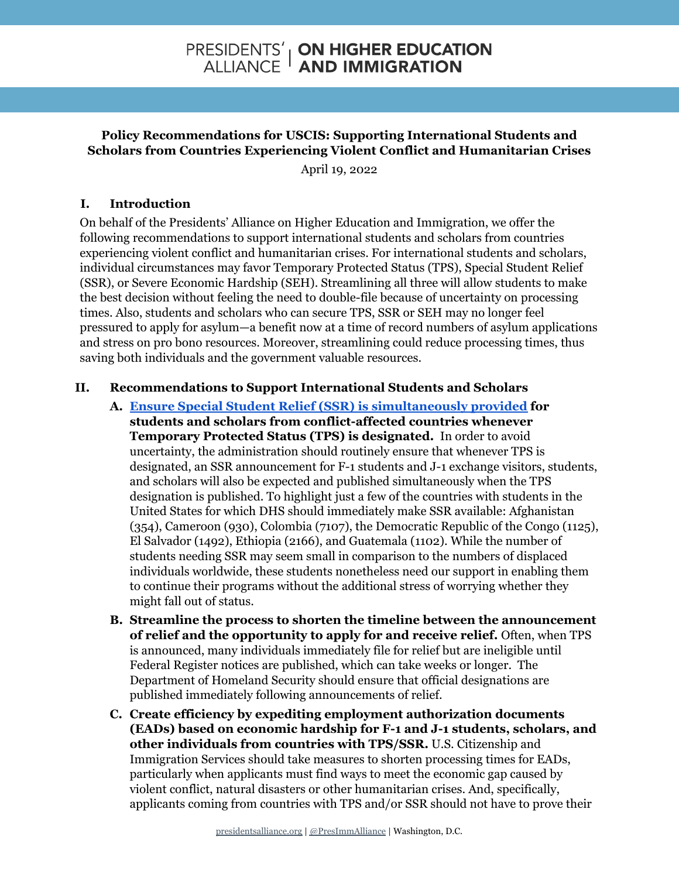## PRESIDENTS' | **ON HIGHER EDUCATION**<br>ALLIANCE **| AND IMMIGRATION**

## **Policy Recommendations for USCIS: Supporting International Students and Scholars from Countries Experiencing Violent Conflict and Humanitarian Crises**

April 19, 2022

## **I. Introduction**

On behalf of the Presidents' Alliance on Higher Education and Immigration, we offer the following recommendations to support international students and scholars from countries experiencing violent conflict and humanitarian crises. For international students and scholars, individual circumstances may favor Temporary Protected Status (TPS), Special Student Relief (SSR), or Severe Economic Hardship (SEH). Streamlining all three will allow students to make the best decision without feeling the need to double-file because of uncertainty on processing times. Also, students and scholars who can secure TPS, SSR or SEH may no longer feel pressured to apply for asylum—a benefit now at a time of record numbers of asylum applications and stress on pro bono resources. Moreover, streamlining could reduce processing times, thus saving both individuals and the government valuable resources.

## **II. Recommendations to Support International Students and Scholars**

- **A. Ensure Special Student Relief (SSR) is [simultaneously](https://www.presidentsalliance.org/wp-content/uploads/2022/02/2022-03-01-TPS-SSR-Memo-Final.pdf) provided for students and scholars from conflict-affected countries whenever Temporary Protected Status (TPS) is designated.** In order to avoid uncertainty, the administration should routinely ensure that whenever TPS is designated, an SSR announcement for F-1 students and J-1 exchange visitors, students, and scholars will also be expected and published simultaneously when the TPS designation is published. To highlight just a few of the countries with students in the United States for which DHS should immediately make SSR available: Afghanistan (354), Cameroon (930), Colombia (7107), the Democratic Republic of the Congo (1125), El Salvador (1492), Ethiopia (2166), and Guatemala (1102). While the number of students needing SSR may seem small in comparison to the numbers of displaced individuals worldwide, these students nonetheless need our support in enabling them to continue their programs without the additional stress of worrying whether they might fall out of status.
- **B. Streamline the process to shorten the timeline between the announcement of relief and the opportunity to apply for and receive relief.** Often, when TPS is announced, many individuals immediately file for relief but are ineligible until Federal Register notices are published, which can take weeks or longer. The Department of Homeland Security should ensure that official designations are published immediately following announcements of relief.
- **C. Create efficiency by expediting employment authorization documents (EADs) based on economic hardship for F-1 and J-1 students, scholars, and other individuals from countries with TPS/SSR.** U.S. Citizenship and Immigration Services should take measures to shorten processing times for EADs, particularly when applicants must find ways to meet the economic gap caused by violent conflict, natural disasters or other humanitarian crises. And, specifically, applicants coming from countries with TPS and/or SSR should not have to prove their